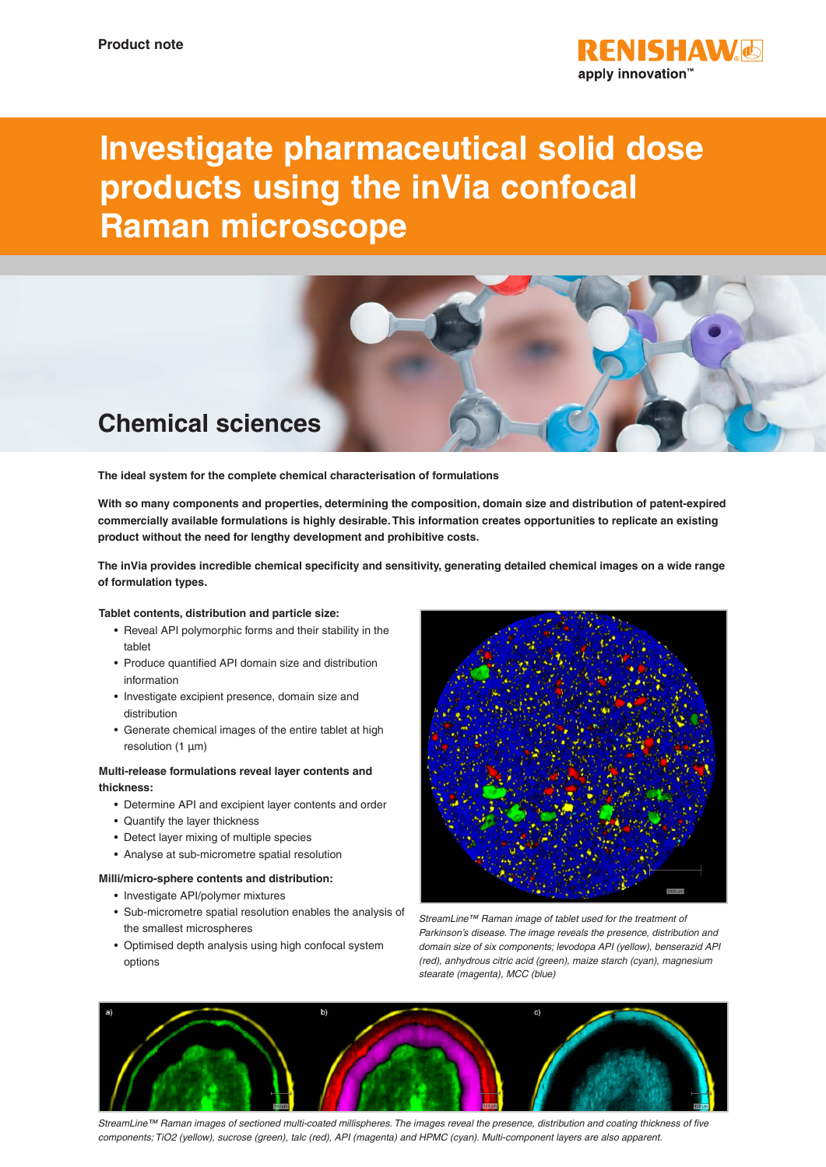

# **Investigate pharmaceutical solid dose products using the inVia confocal Raman microscope**



**The ideal system for the complete chemical characterisation of formulations**

**With so many components and properties, determining the composition, domain size and distribution of patent-expired commercially available formulations is highly desirable. This information creates opportunities to replicate an existing product without the need for lengthy development and prohibitive costs.**

**The inVia provides incredible chemical specificity and sensitivity, generating detailed chemical images on a wide range of formulation types.** 

#### **Tablet contents, distribution and particle size:**

- Reveal API polymorphic forms and their stability in the tablet
- Produce quantified API domain size and distribution information
- Investigate excipient presence, domain size and distribution
- Generate chemical images of the entire tablet at high resolution (1 µm)

## **Multi-release formulations reveal layer contents and thickness:**

- Determine API and excipient layer contents and order
- Quantify the layer thickness
- Detect layer mixing of multiple species
- Analyse at sub-micrometre spatial resolution

#### **Milli/micro-sphere contents and distribution:**

- Investigate API/polymer mixtures
- Sub-micrometre spatial resolution enables the analysis of the smallest microspheres
- Optimised depth analysis using high confocal system options



*StreamLine™ Raman image of tablet used for the treatment of Parkinson's disease. The image reveals the presence, distribution and domain size of six components; levodopa API (yellow), benserazid API (red), anhydrous citric acid (green), maize starch (cyan), magnesium stearate (magenta), MCC (blue)*



StreamLine™ Raman images of sectioned multi-coated millispheres. The images reveal the presence, distribution and coating thickness of five *components; TiO2 (yellow), sucrose (green), talc (red), API (magenta) and HPMC (cyan). Multi-component layers are also apparent.*